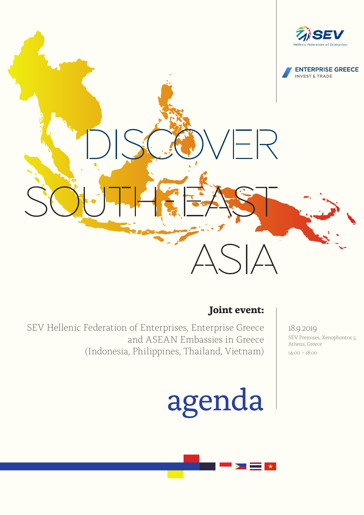

## **Joint event:**

 SEV Hellenic Federation of Enterprises, Enterprise Greece and ASEAN Embassies in Greece (Indonesia, Philippines, Thailand, Vietnam)

## agenda

18.9.2019 SEV Premises, Xenophontos 5, Athens, Greece 14:00 – 18:00